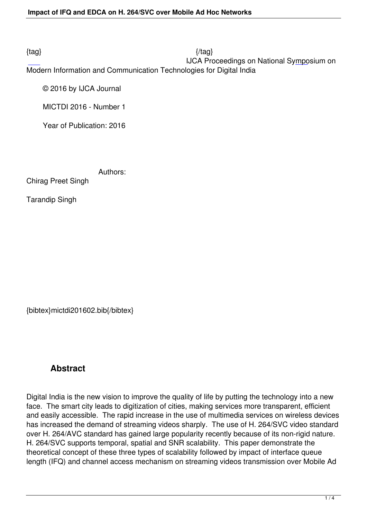$\{tag\}$  IJCA Proceedings on National Symposium on Modern Information and Communication Technologies for Digital India

© 2016 by IJCA Journal

MICTDI 2016 - Number 1

Year of Publication: 2016

Authors:

Chirag Preet Singh

Tarandip Singh

{bibtex}mictdi201602.bib{/bibtex}

## **Abstract**

Digital India is the new vision to improve the quality of life by putting the technology into a new face. The smart city leads to digitization of cities, making services more transparent, efficient and easily accessible. The rapid increase in the use of multimedia services on wireless devices has increased the demand of streaming videos sharply. The use of H. 264/SVC video standard over H. 264/AVC standard has gained large popularity recently because of its non-rigid nature. H. 264/SVC supports temporal, spatial and SNR scalability. This paper demonstrate the theoretical concept of these three types of scalability followed by impact of interface queue length (IFQ) and channel access mechanism on streaming videos transmission over Mobile Ad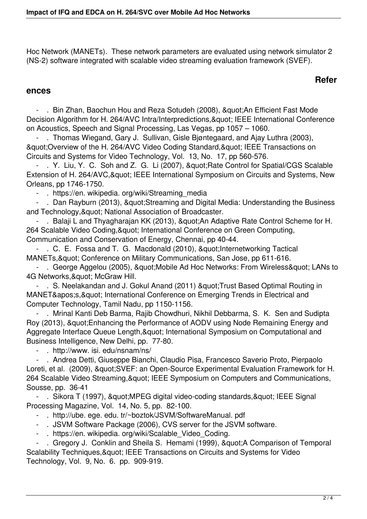Hoc Network (MANETs). These network parameters are evaluated using network simulator 2 (NS-2) software integrated with scalable video streaming evaluation framework (SVEF).

## **Refer**

## **ences**

- . Bin Zhan, Baochun Hou and Reza Sotudeh (2008), " An Efficient Fast Mode Decision Algorithm for H. 264/AVC Intra/Interpredictions, & quot; IEEE International Conference on Acoustics, Speech and Signal Processing, Las Vegas, pp 1057 – 1060.

 - . Thomas Wiegand, Gary J. Sullivan, Gisle Bjøntegaard, and Ajay Luthra (2003), " Overview of the H. 264/AVC Video Coding Standard, " IEEE Transactions on Circuits and Systems for Video Technology, Vol. 13, No. 17, pp 560-576.

- . Y. Liu, Y. C. Soh and Z. G. Li (2007), " Rate Control for Spatial/CGS Scalable Extension of H. 264/AVC, & quot; IEEE International Symposium on Circuits and Systems, New Orleans, pp 1746-1750.

- . https://en. wikipedia. org/wiki/Streaming\_media

- . Dan Rayburn (2013), & quot; Streaming and Digital Media: Understanding the Business and Technology, & quot; National Association of Broadcaster.

- . Balaji L and Thyagharajan KK (2013), "An Adaptive Rate Control Scheme for H. 264 Scalable Video Coding, & quot; International Conference on Green Computing, Communication and Conservation of Energy, Chennai, pp 40-44.

- . C. E. Fossa and T. G. Macdonald (2010), " Internetworking Tactical MANETs, & quot; Conference on Military Communications, San Jose, pp 611-616.

- . George Aggelou (2005), & guot: Mobile Ad Hoc Networks: From Wireless & guot: LANs to 4G Networks, & quot; McGraw Hill.

- . S. Neelakandan and J. Gokul Anand (2011) " Trust Based Optimal Routing in MANET's, & quot; International Conference on Emerging Trends in Electrical and Computer Technology, Tamil Nadu, pp 1150-1156.

 - . Mrinal Kanti Deb Barma, Rajib Chowdhuri, Nikhil Debbarma, S. K. Sen and Sudipta Roy (2013), & quot; Enhancing the Performance of AODV using Node Remaining Energy and Aggregate Interface Queue Length, & quot; International Symposium on Computational and Business Intelligence, New Delhi, pp. 77-80.

- . http://www. isi. edu/nsnam/ns/

 - . Andrea Detti, Giuseppe Bianchi, Claudio Pisa, Francesco Saverio Proto, Pierpaolo Loreti, et al. (2009), "SVEF: an Open-Source Experimental Evaluation Framework for H. 264 Scalable Video Streaming, & quot; IEEE Symposium on Computers and Communications, Sousse, pp. 36-41

- . Sikora T (1997), & quot; MPEG digital video-coding standards, & quot; IEEE Signal Processing Magazine, Vol. 14, No. 5, pp. 82-100.

- . http://ube. ege. edu. tr/~boztok/JSVM/SoftwareManual. pdf
- . JSVM Software Package (2006), CVS server for the JSVM software.
- . https://en. wikipedia. org/wiki/Scalable\_Video\_Coding.

- . Gregory J. Conklin and Sheila S. Hemami (1999), & quot: A Comparison of Temporal Scalability Techniques, & quot; IEEE Transactions on Circuits and Systems for Video Technology, Vol. 9, No. 6. pp. 909-919.